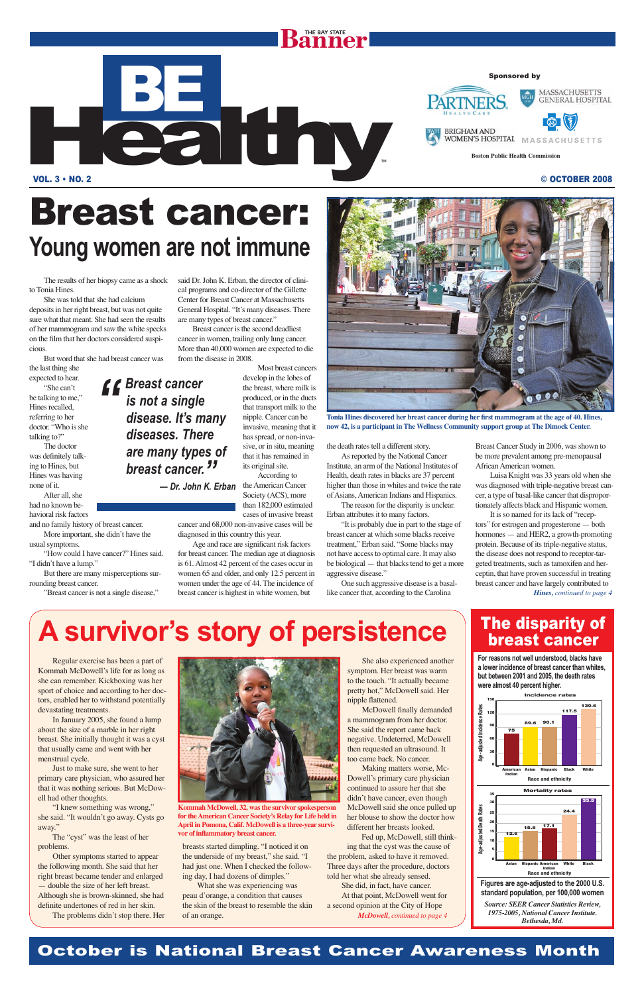#### October is National Breast Cancer Awareness Month

The results of her biopsy came as a shock to Tonia Hines.

the last thing she expected to hear. "She can't be talking to me," Hines recalled, referring to her doctor. "Who is she talking to?"

She was told that she had calcium deposits in her right breast, but was not quite sure what that meant. She had seen the results of her mammogram and saw the white specks on the film that her doctors considered suspicious.

But word that she had breast cancer was

"How could I have cancer?" Hines said. "I didn't have a lump."

The doctor was definitely talking to Hines, but Hines was having none of it. After all, she

had no known behavioral risk factors

and no family history of breast cancer. More important, she didn't have the usual symptoms.

But there are many misperceptions surrounding breast cancer.

"Breast cancer is not a single disease,"

Age and race are significant risk factors for breast cancer. The median age at diagnosis is 61. Almost 42 percent of the cases occur in women 65 and older, and only 12.5 percent in women under the age of 44. The incidence of breast cancer is highest in white women, but

said Dr. John K. Erban, the director of clinical programs and co-director of the Gillette Center for Breast Cancer at Massachusetts General Hospital. "It's many diseases. There are many types of breast cancer."

BE HEALTH

Breast cancer is the second deadliest cancer in women, trailing only lung cancer. More than 40,000 women are expected to die from the disease in 2008.

> Most breast cancers develop in the lobes of the breast, where milk is produced, or in the ducts that transport milk to the nipple. Cancer can be invasive, meaning that it has spread, or non-invasive, or in situ, meaning that it has remained in its original site.

According to the American Cancer Society (ACS), more than 182,000 estimated cases of invasive breast

cancer and 68,000 non-invasive cases will be diagnosed in this country this year.

*f Breast cancer*<br> *is not a single<br>
disease. It's m is not a single disease. It's many diseases. There are many types of breast cancer."*

the death rates tell a different story.

Other symptoms started to appear the following month. She said that her right breast became tender and enlarged — double the size of her left breast. Although she is brown-skinned, she had definite undertones of red in her skin.

As reported by the National Cancer Institute, an arm of the National Institutes of Health, death rates in blacks are 37 percent higher than those in whites and twice the rate of Asians, American Indians and Hispanics.

The reason for the disparity is unclear. Erban attributes it to many factors.

> She also experienced another symptom. Her breast was warm to the touch. "It actually became pretty hot," McDowell said. Her nipple flattened.

"It is probably due in part to the stage of breast cancer at which some blacks receive treatment," Erban said. "Some blacks may not have access to optimal care. It may also be biological — that blacks tend to get a more aggressive disease."

> McDowell finally demanded a mammogram from her doctor. She said the report came back negative. Undeterred, McDowell then requested an ultrasound. It too came back. No cancer.

One such aggressive disease is a basallike cancer that, according to the Carolina

Breast Cancer Study in 2006, was shown to be more prevalent among pre-menopausal African American women.

Luisa Knight was 33 years old when she was diagnosed with triple-negative breast cancer, a type of basal-like cancer that disproportionately affects black and Hispanic women.



Tonia Hines discovered her breast cancer during her first mammogram at the age of 40. Hines, **now 42, is a participant in The Wellness Community support group at The Dimock Center.**

**Kommah McDowell, 32, was the survivor spokesperson for the American Cancer Society's Relay for Life held in April in Pomona, Calif. McDowell is a three-year survivor of inflammatory breast cancer.** 

It is so named for its lack of "receptors" for estrogen and progesterone — both hormones — and HER2, a growth-promoting protein. Because of its triple-negative status, the disease does not respond to receptor-targeted treatments, such as tamoxifen and herceptin, that have proven successful in treating breast cancer and have largely contributed to *Hines, continued to page 4*

## Breast cancer: **Young women are not immune**

*— Dr. John K. Erban* 

Regular exercise has been a part of Kommah McDowell's life for as long as she can remember. Kickboxing was her sport of choice and according to her doctors, enabled her to withstand potentially devastating treatments.

In January 2005, she found a lump about the size of a marble in her right breast. She initially thought it was a cyst that usually came and went with her menstrual cycle. Just to make sure, she went to her primary care physician, who assured her that it was nothing serious. But McDowell had other thoughts.



"I knew something was wrong," she said. "It wouldn't go away. Cysts go away."

The "cyst" was the least of her problems.

The problems didn't stop there. Her

breasts started dimpling. "I noticed it on the underside of my breast," she said. "I had just one. When I checked the following day, I had dozens of dimples."

What she was experiencing was peau d'orange, a condition that causes the skin of the breast to resemble the skin of an orange.

Making matters worse, Mc-Dowell's primary care physician continued to assure her that she didn't have cancer, even though McDowell said she once pulled up her blouse to show the doctor how different her breasts looked.

Fed up, McDowell, still thinking that the cyst was the cause of the problem, asked to have it removed. Three days after the procedure, doctors told her what she already sensed.

She did, in fact, have cancer. At that point, McDowell went for a second opinion at the City of Hope *McDowell, continued to page 4*

## **A survivor's story of persistence**

#### VOL. 3 • NO. 2 © OCTOBER 2008

## THE BAY STATE

#### Sponsored by



**Boston Public Health Commission**

### The disparity of breast cancer

**For reasons not well understood, blacks have a lower incidence of breast cancer than whites, but between 2001 and 2005, the death rates were almost 40 percent higher.**



**Incidence rates 150 130.6 idence Rates 117.5 120 89.6 90.1 90**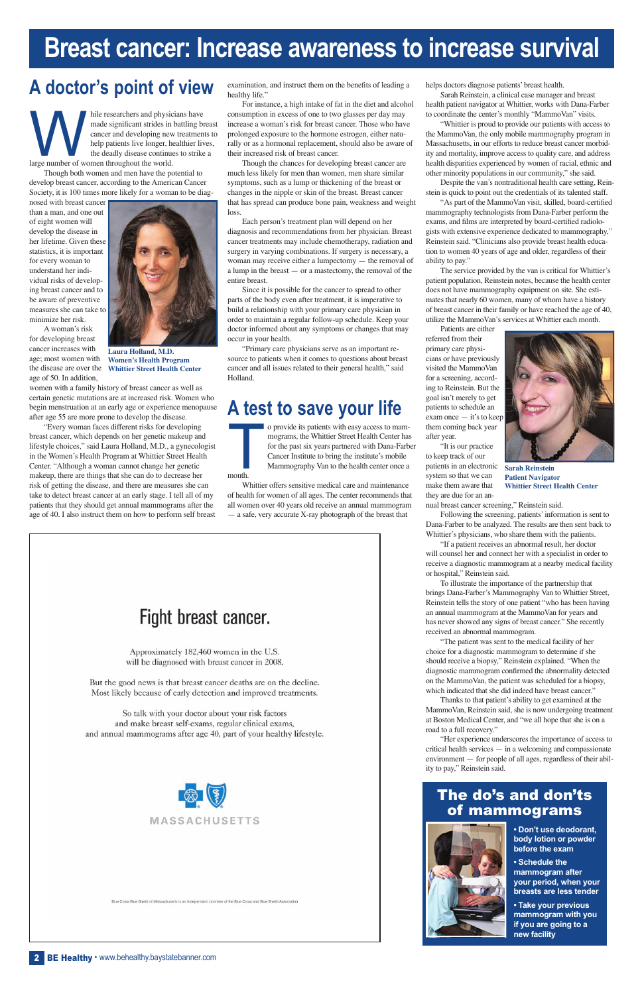## **Breast cancer: Increase awareness to increase survival**

## **A doctor's point of view**

hile researchers and physicians have<br>made significant strides in battling br<br>cancer and developing new treatment<br>help patients live longer, healthier liv<br>the deadly disease continues to strike made significant strides in battling breast cancer and developing new treatments to help patients live longer, healthier lives, the deadly disease continues to strike a large number of women throughout the world.

Though both women and men have the potential to develop breast cancer, according to the American Cancer Society, it is 100 times more likely for a woman to be diag-

nosed with breast cancer than a man, and one out of eight women will develop the disease in her lifetime. Given these statistics, it is important for every woman to understand her individual risks of developing breast cancer and to be aware of preventive measures she can take to minimize her risk.

A woman's risk for developing breast cancer increases with age; most women with the disease are over the age of 50. In addition,

examination, and instruct them on the benefits of leading a healthy life."

women with a family history of breast cancer as well as certain genetic mutations are at increased risk. Women who begin menstruation at an early age or experience menopause after age 55 are more prone to develop the disease.

"Every woman faces different risks for developing breast cancer, which depends on her genetic makeup and lifestyle choices," said Laura Holland, M.D., a gynecologist in the Women's Health Program at Whittier Street Health Center. "Although a woman cannot change her genetic makeup, there are things that she can do to decrease her risk of getting the disease, and there are measures she can take to detect breast cancer at an early stage. I tell all of my patients that they should get annual mammograms after the age of 40. I also instruct them on how to perform self breast

**To provide its patients with easy access to mam-**<br>mograms, the Whittier Street Health Center has<br>for the past six years partnered with Dana-Farb<br>Cancer Institute to bring the institute's mobile<br>Mammography Van to the heal mograms, the Whittier Street Health Center has for the past six years partnered with Dana-Farber Cancer Institute to bring the institute's mobile Mammography Van to the health center once a month.

For instance, a high intake of fat in the diet and alcohol consumption in excess of one to two glasses per day may increase a woman's risk for breast cancer. Those who have prolonged exposure to the hormone estrogen, either naturally or as a hormonal replacement, should also be aware of their increased risk of breast cancer.

Though the chances for developing breast cancer are much less likely for men than women, men share similar symptoms, such as a lump or thickening of the breast or changes in the nipple or skin of the breast. Breast cancer that has spread can produce bone pain, weakness and weight loss.

"As part of the MammoVan visit, skilled, board-certified mammography technologists from Dana-Farber perform the exams, and films are interpreted by board-certified radiologists with extensive experience dedicated to mammography," Reinstein said. "Clinicians also provide breast health education to women 40 years of age and older, regardless of their ability to pay."

Each person's treatment plan will depend on her diagnosis and recommendations from her physician. Breast cancer treatments may include chemotherapy, radiation and surgery in varying combinations. If surgery is necessary, a woman may receive either a lumpectomy — the removal of a lump in the breast — or a mastectomy, the removal of the entire breast.

Since it is possible for the cancer to spread to other parts of the body even after treatment, it is imperative to build a relationship with your primary care physician in order to maintain a regular follow-up schedule. Keep your doctor informed about any symptoms or changes that may occur in your health.

"Primary care physicians serve as an important resource to patients when it comes to questions about breast cancer and all issues related to their general health," said Holland.

## **A test to save your life**

Whittier offers sensitive medical care and maintenance of health for women of all ages. The center recommends that all women over 40 years old receive an annual mammogram — a safe, very accurate X-ray photograph of the breast that



Approximately 182,460 women in the U.S. will be diagnosed with breast cancer in 2008.

But the good news is that breast cancer deaths are on the decline. Most likely because of early detection and improved treatments.

So talk with your doctor about your risk factors and make breast self-exams, regular clinical exams, helps doctors diagnose patients' breast health.

Sarah Reinstein, a clinical case manager and breast health patient navigator at Whittier, works with Dana-Farber to coordinate the center's monthly "MammoVan" visits.

"Whittier is proud to provide our patients with access to the MammoVan, the only mobile mammography program in Massachusetts, in our efforts to reduce breast cancer morbidity and mortality, improve access to quality care, and address health disparities experienced by women of racial, ethnic and other minority populations in our community," she said.

Despite the van's nontraditional health care setting, Reinstein is quick to point out the credentials of its talented staff.

The service provided by the van is critical for Whittier's patient population, Reinstein notes, because the health center does not have mammography equipment on site. She estimates that nearly 60 women, many of whom have a history of breast cancer in their family or have reached the age of 40, utilize the MammoVan's services at Whittier each month.

Patients are either referred from their primary care physicians or have previously visited the MammoVan for a screening, according to Reinstein. But the goal isn't merely to get patients to schedule an exam once — it's to keep them coming back year after year.

"It is our practice to keep track of our patients in an electronic system so that we can make them aware that they are due for an an-

nual breast cancer screening," Reinstein said.

Following the screening, patients' information is sent to Dana-Farber to be analyzed. The results are then sent back to Whittier's physicians, who share them with the patients.

"If a patient receives an abnormal result, her doctor will counsel her and connect her with a specialist in order to receive a diagnostic mammogram at a nearby medical facility or hospital," Reinstein said.

To illustrate the importance of the partnership that brings Dana-Farber's Mammography Van to Whittier Street, Reinstein tells the story of one patient "who has been having an annual mammogram at the MammoVan for years and has never showed any signs of breast cancer." She recently received an abnormal mammogram.

"The patient was sent to the medical facility of her choice for a diagnostic mammogram to determine if she should receive a biopsy," Reinstein explained. "When the diagnostic mammogram confirmed the abnormality detected on the MammoVan, the patient was scheduled for a biopsy, which indicated that she did indeed have breast cancer."

Thanks to that patient's ability to get examined at the MammoVan, Reinstein said, she is now undergoing treatment at Boston Medical Center, and "we all hope that she is on a road to a full recovery."

and annual mammograms after age 40, part of your healthy lifestyle.



Blue Cross Blue Shield of Massachusetts is an Independent Licensee of the Blue Cross and Blue Shield Assor

"Her experience underscores the importance of access to critical health services — in a welcoming and compassionate environment — for people of all ages, regardless of their ability to pay," Reinstein said.

#### The do's and don'ts of mammograms



**• Don't use deodorant, body lotion or powder before the exam**

**• Schedule the mammogram after your period, when your breasts are less tender**

**• Take your previous mammogram with you if you are going to a new facility** 

2 BE Healthy · www.behealthy.baystatebanner.com



**Sarah Reinstein Patient Navigator Whittier Street Health Center**



**Laura Holland, M.D. Women's Health Program Whittier Street Health Center**